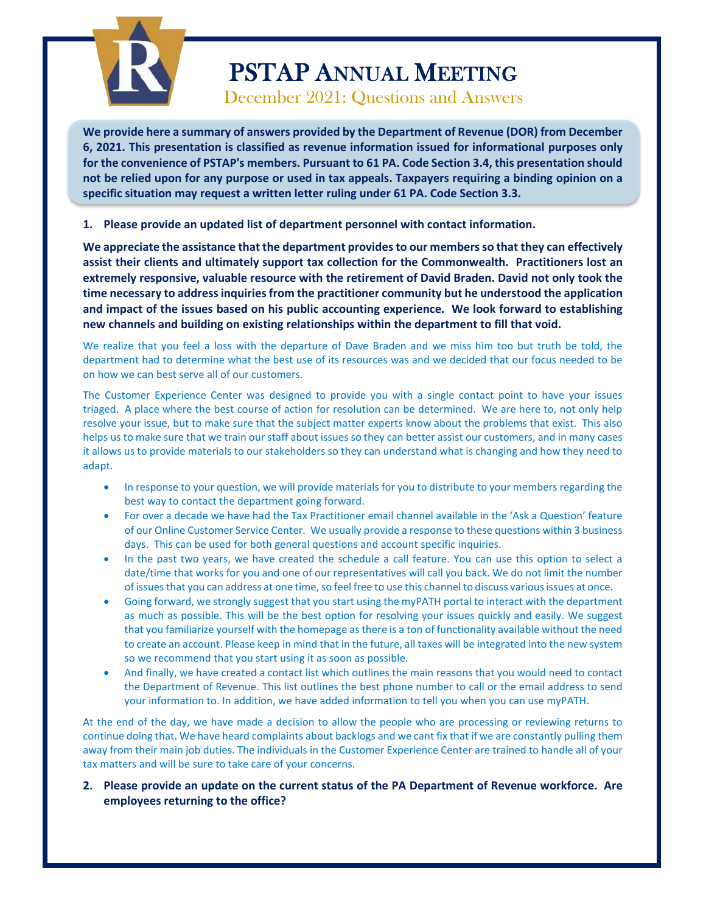

**We provide here a summary of answers provided by the Department of Revenue (DOR) from December 6, 2021. This presentation is classified as revenue information issued for informational purposes only for the convenience of PSTAP's members. Pursuant to 61 PA. Code Section 3.4, this presentation should not be relied upon for any purpose or used in tax appeals. Taxpayers requiring a binding opinion on a specific situation may request a written letter ruling under 61 PA. Code Section 3.3.**

**1. Please provide an updated list of department personnel with contact information.** 

**We appreciate the assistance that the department provides to our members so that they can effectively assist their clients and ultimately support tax collection for the Commonwealth. Practitioners lost an extremely responsive, valuable resource with the retirement of David Braden. David not only took the time necessary to address inquiries from the practitioner community but he understood the application and impact of the issues based on his public accounting experience. We look forward to establishing new channels and building on existing relationships within the department to fill that void.**

We realize that you feel a loss with the departure of Dave Braden and we miss him too but truth be told, the department had to determine what the best use of its resources was and we decided that our focus needed to be on how we can best serve all of our customers.

The Customer Experience Center was designed to provide you with a single contact point to have your issues triaged. A place where the best course of action for resolution can be determined. We are here to, not only help resolve your issue, but to make sure that the subject matter experts know about the problems that exist. This also helps us to make sure that we train our staff about issues so they can better assist our customers, and in many cases it allows us to provide materials to our stakeholders so they can understand what is changing and how they need to adapt.

- In response to your question, we will provide materials for you to distribute to your members regarding the best way to contact the department going forward.
- For over a decade we have had the Tax Practitioner email channel available in the 'Ask a Question' feature of our Online Customer Service Center. We usually provide a response to these questions within 3 business days. This can be used for both general questions and account specific inquiries.
- In the past two years, we have created the schedule a call feature. You can use this option to select a date/time that works for you and one of our representatives will call you back. We do not limit the number of issues that you can address at one time, so feel free to use this channel to discuss various issues at once.
- Going forward, we strongly suggest that you start using the myPATH portal to interact with the department as much as possible. This will be the best option for resolving your issues quickly and easily. We suggest that you familiarize yourself with the homepage as there is a ton of functionality available without the need to create an account. Please keep in mind that in the future, all taxes will be integrated into the new system so we recommend that you start using it as soon as possible.
- And finally, we have created a contact list which outlines the main reasons that you would need to contact the Department of Revenue. This list outlines the best phone number to call or the email address to send your information to. In addition, we have added information to tell you when you can use myPATH.

At the end of the day, we have made a decision to allow the people who are processing or reviewing returns to continue doing that. We have heard complaints about backlogs and we cant fix that if we are constantly pulling them away from their main job duties. The individuals in the Customer Experience Center are trained to handle all of your tax matters and will be sure to take care of your concerns.

**2. Please provide an update on the current status of the PA Department of Revenue workforce. Are employees returning to the office?**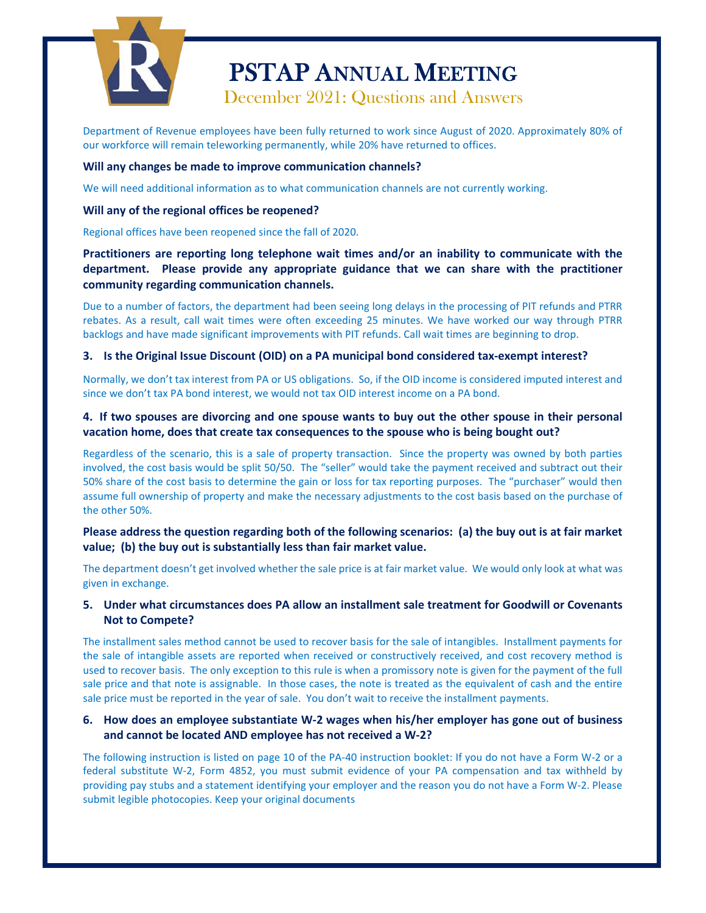

Department of Revenue employees have been fully returned to work since August of 2020. Approximately 80% of our workforce will remain teleworking permanently, while 20% have returned to offices.

#### **Will any changes be made to improve communication channels?**

We will need additional information as to what communication channels are not currently working.

#### **Will any of the regional offices be reopened?**

Regional offices have been reopened since the fall of 2020.

**Practitioners are reporting long telephone wait times and/or an inability to communicate with the department. Please provide any appropriate guidance that we can share with the practitioner community regarding communication channels.** 

Due to a number of factors, the department had been seeing long delays in the processing of PIT refunds and PTRR rebates. As a result, call wait times were often exceeding 25 minutes. We have worked our way through PTRR backlogs and have made significant improvements with PIT refunds. Call wait times are beginning to drop.

### **3. Is the Original Issue Discount (OID) on a PA municipal bond considered tax-exempt interest?**

Normally, we don't tax interest from PA or US obligations. So, if the OID income is considered imputed interest and since we don't tax PA bond interest, we would not tax OID interest income on a PA bond.

### **4. If two spouses are divorcing and one spouse wants to buy out the other spouse in their personal vacation home, does that create tax consequences to the spouse who is being bought out?**

Regardless of the scenario, this is a sale of property transaction. Since the property was owned by both parties involved, the cost basis would be split 50/50. The "seller" would take the payment received and subtract out their 50% share of the cost basis to determine the gain or loss for tax reporting purposes. The "purchaser" would then assume full ownership of property and make the necessary adjustments to the cost basis based on the purchase of the other 50%.

### **Please address the question regarding both of the following scenarios: (a) the buy out is at fair market value; (b) the buy out is substantially less than fair market value.**

The department doesn't get involved whether the sale price is at fair market value. We would only look at what was given in exchange.

## **5. Under what circumstances does PA allow an installment sale treatment for Goodwill or Covenants Not to Compete?**

The installment sales method cannot be used to recover basis for the sale of intangibles. Installment payments for the sale of intangible assets are reported when received or constructively received, and cost recovery method is used to recover basis. The only exception to this rule is when a promissory note is given for the payment of the full sale price and that note is assignable. In those cases, the note is treated as the equivalent of cash and the entire sale price must be reported in the year of sale. You don't wait to receive the installment payments.

### **6. How does an employee substantiate W-2 wages when his/her employer has gone out of business and cannot be located AND employee has not received a W-2?**

The following instruction is listed on page 10 of the PA-40 instruction booklet: If you do not have a Form W-2 or a federal substitute W-2, Form 4852, you must submit evidence of your PA compensation and tax withheld by providing pay stubs and a statement identifying your employer and the reason you do not have a Form W-2. Please submit legible photocopies. Keep your original documents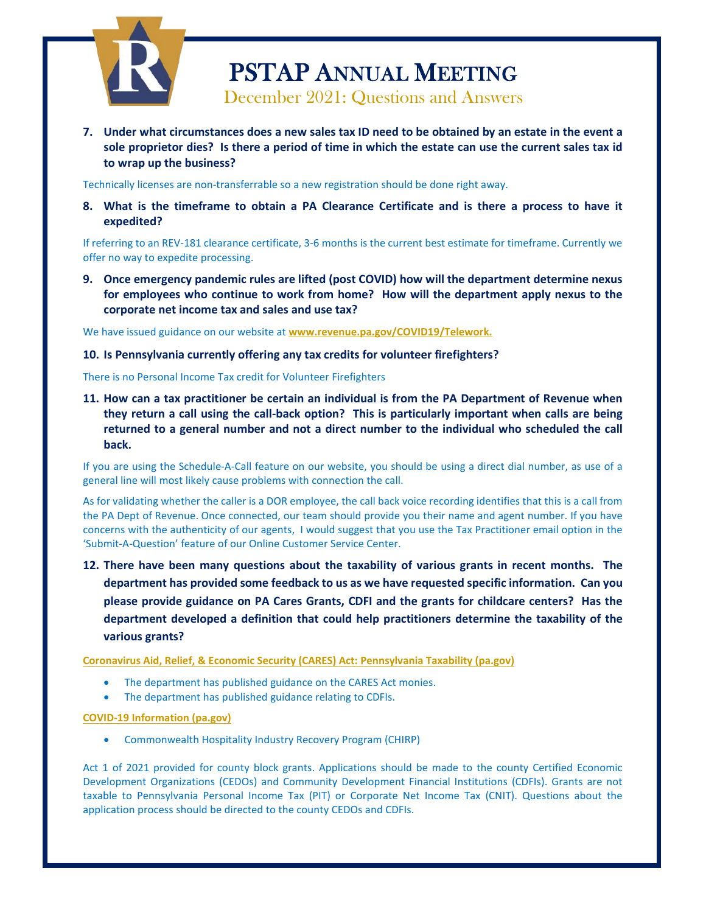

**7. Under what circumstances does a new sales tax ID need to be obtained by an estate in the event a sole proprietor dies? Is there a period of time in which the estate can use the current sales tax id to wrap up the business?** 

Technically licenses are non-transferrable so a new registration should be done right away.

**8. What is the timeframe to obtain a PA Clearance Certificate and is there a process to have it expedited?** 

If referring to an REV-181 clearance certificate, 3-6 months is the current best estimate for timeframe. Currently we offer no way to expedite processing.

**9. Once emergency pandemic rules are lifted (post COVID) how will the department determine nexus for employees who continue to work from home? How will the department apply nexus to the corporate net income tax and sales and use tax?**

We have issued guidance on our website at **[www.revenue.pa.gov/COVID19/Telework.](http://www.revenue.pa.gov/COVID19/Telework)**

#### **10. Is Pennsylvania currently offering any tax credits for volunteer firefighters?**

There is no Personal Income Tax credit for Volunteer Firefighters

**11. How can a tax practitioner be certain an individual is from the PA Department of Revenue when they return a call using the call-back option? This is particularly important when calls are being returned to a general number and not a direct number to the individual who scheduled the call back.** 

If you are using the Schedule-A-Call feature on our website, you should be using a direct dial number, as use of a general line will most likely cause problems with connection the call.

As for validating whether the caller is a DOR employee, the call back voice recording identifies that this is a call from the PA Dept of Revenue. Once connected, our team should provide you their name and agent number. If you have concerns with the authenticity of our agents, I would suggest that you use the Tax Practitioner email option in the 'Submit-A-Question' feature of our Online Customer Service Center.

**12. There have been many questions about the taxability of various grants in recent months. The department has provided some feedback to us as we have requested specific information. Can you please provide guidance on PA Cares Grants, CDFI and the grants for childcare centers? Has the department developed a definition that could help practitioners determine the taxability of the various grants?** 

**[Coronavirus Aid, Relief, & Economic Security \(CARES\) Act: Pennsylvania Taxability \(pa.gov\)](https://www.revenue.pa.gov/COVID19/Documents/cares_act.pdf)**

- The department has published guidance on the CARES Act monies.
- The department has published guidance relating to CDFIs.

#### **[COVID-19 Information \(pa.gov\)](https://www.revenue.pa.gov/COVID19/Pages/default.aspx)**

• Commonwealth Hospitality Industry Recovery Program (CHIRP)

Act 1 of 2021 provided for county block grants. Applications should be made to the county Certified Economic Development Organizations (CEDOs) and Community Development Financial Institutions (CDFIs). Grants are not taxable to Pennsylvania Personal Income Tax (PIT) or Corporate Net Income Tax (CNIT). Questions about the application process should be directed to the county CEDOs and CDFIs.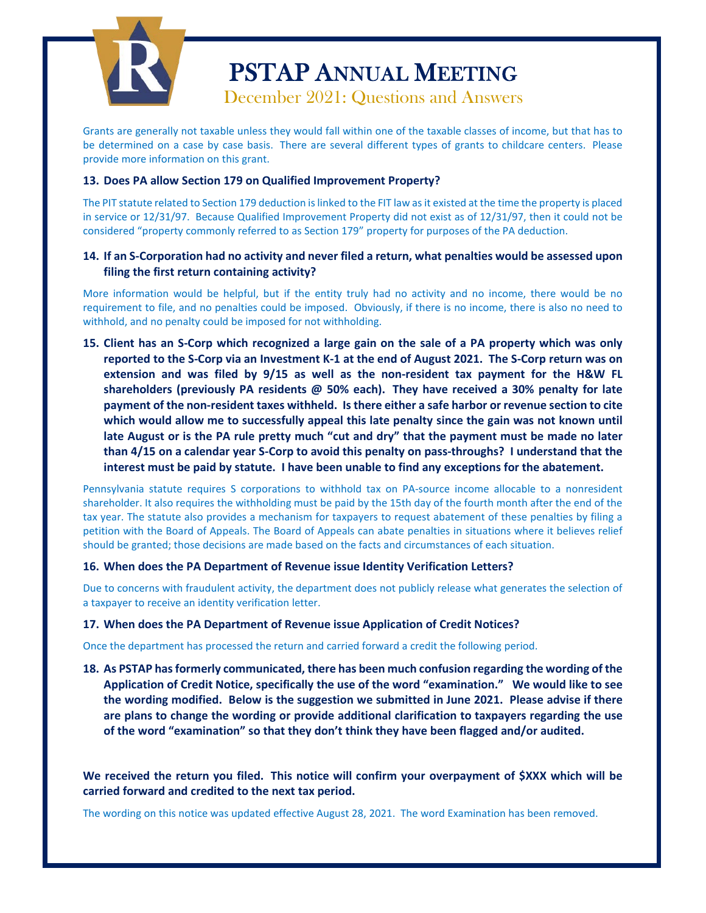

Grants are generally not taxable unless they would fall within one of the taxable classes of income, but that has to be determined on a case by case basis. There are several different types of grants to childcare centers. Please provide more information on this grant.

### **13. Does PA allow Section 179 on Qualified Improvement Property?**

The PIT statute related to Section 179 deduction is linked to the FIT law as it existed at the time the property is placed in service or 12/31/97. Because Qualified Improvement Property did not exist as of 12/31/97, then it could not be considered "property commonly referred to as Section 179" property for purposes of the PA deduction.

### **14. If an S-Corporation had no activity and never filed a return, what penalties would be assessed upon filing the first return containing activity?**

More information would be helpful, but if the entity truly had no activity and no income, there would be no requirement to file, and no penalties could be imposed. Obviously, if there is no income, there is also no need to withhold, and no penalty could be imposed for not withholding.

**15. Client has an S-Corp which recognized a large gain on the sale of a PA property which was only reported to the S-Corp via an Investment K-1 at the end of August 2021. The S-Corp return was on extension and was filed by 9/15 as well as the non-resident tax payment for the H&W FL shareholders (previously PA residents @ 50% each). They have received a 30% penalty for late payment of the non-resident taxes withheld. Is there either a safe harbor or revenue section to cite which would allow me to successfully appeal this late penalty since the gain was not known until late August or is the PA rule pretty much "cut and dry" that the payment must be made no later than 4/15 on a calendar year S-Corp to avoid this penalty on pass-throughs? I understand that the interest must be paid by statute. I have been unable to find any exceptions for the abatement.** 

Pennsylvania statute requires S corporations to withhold tax on PA-source income allocable to a nonresident shareholder. It also requires the withholding must be paid by the 15th day of the fourth month after the end of the tax year. The statute also provides a mechanism for taxpayers to request abatement of these penalties by filing a petition with the Board of Appeals. The Board of Appeals can abate penalties in situations where it believes relief should be granted; those decisions are made based on the facts and circumstances of each situation.

#### **16. When does the PA Department of Revenue issue Identity Verification Letters?**

Due to concerns with fraudulent activity, the department does not publicly release what generates the selection of a taxpayer to receive an identity verification letter.

#### **17. When does the PA Department of Revenue issue Application of Credit Notices?**

Once the department has processed the return and carried forward a credit the following period.

**18. As PSTAP has formerly communicated, there has been much confusion regarding the wording of the Application of Credit Notice, specifically the use of the word "examination." We would like to see the wording modified. Below is the suggestion we submitted in June 2021. Please advise if there are plans to change the wording or provide additional clarification to taxpayers regarding the use of the word "examination" so that they don't think they have been flagged and/or audited.** 

**We received the return you filed. This notice will confirm your overpayment of \$XXX which will be carried forward and credited to the next tax period.**

The wording on this notice was updated effective August 28, 2021. The word Examination has been removed.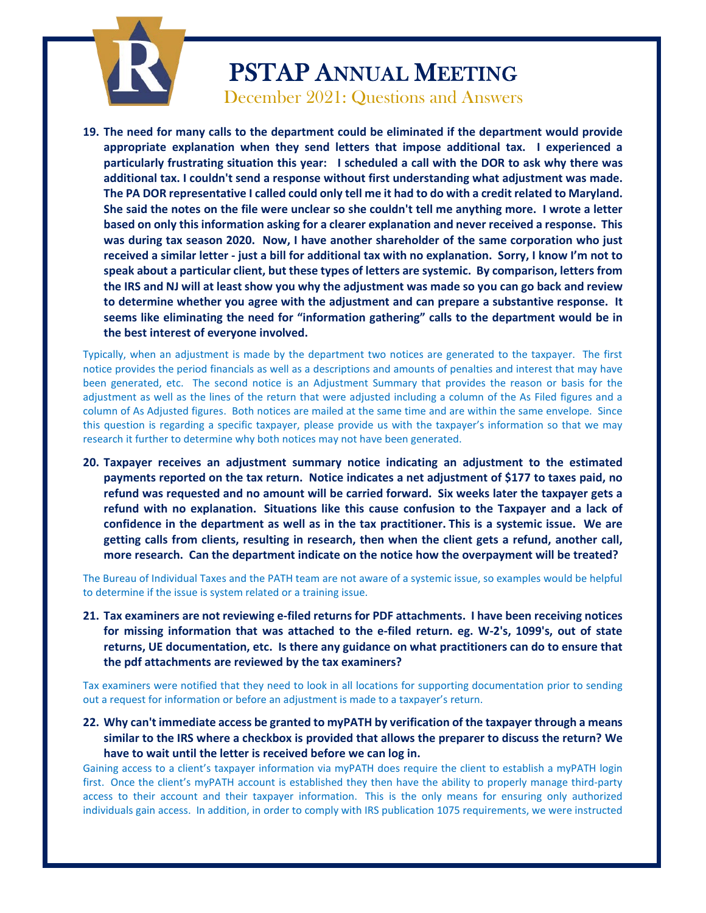

**19. The need for many calls to the department could be eliminated if the department would provide appropriate explanation when they send letters that impose additional tax. I experienced a particularly frustrating situation this year: I scheduled a call with the DOR to ask why there was additional tax. I couldn't send a response without first understanding what adjustment was made. The PA DOR representative I called could only tell me it had to do with a credit related to Maryland. She said the notes on the file were unclear so she couldn't tell me anything more. I wrote a letter based on only this information asking for a clearer explanation and never received a response. This was during tax season 2020. Now, I have another shareholder of the same corporation who just received a similar letter - just a bill for additional tax with no explanation. Sorry, I know I'm not to speak about a particular client, but these types of letters are systemic. By comparison, letters from the IRS and NJ will at least show you why the adjustment was made so you can go back and review to determine whether you agree with the adjustment and can prepare a substantive response. It seems like eliminating the need for "information gathering" calls to the department would be in the best interest of everyone involved.**

Typically, when an adjustment is made by the department two notices are generated to the taxpayer. The first notice provides the period financials as well as a descriptions and amounts of penalties and interest that may have been generated, etc. The second notice is an Adjustment Summary that provides the reason or basis for the adjustment as well as the lines of the return that were adjusted including a column of the As Filed figures and a column of As Adjusted figures. Both notices are mailed at the same time and are within the same envelope. Since this question is regarding a specific taxpayer, please provide us with the taxpayer's information so that we may research it further to determine why both notices may not have been generated.

**20. Taxpayer receives an adjustment summary notice indicating an adjustment to the estimated payments reported on the tax return. Notice indicates a net adjustment of \$177 to taxes paid, no refund was requested and no amount will be carried forward. Six weeks later the taxpayer gets a refund with no explanation. Situations like this cause confusion to the Taxpayer and a lack of confidence in the department as well as in the tax practitioner. This is a systemic issue. We are getting calls from clients, resulting in research, then when the client gets a refund, another call, more research. Can the department indicate on the notice how the overpayment will be treated?** 

The Bureau of Individual Taxes and the PATH team are not aware of a systemic issue, so examples would be helpful to determine if the issue is system related or a training issue.

**21. Tax examiners are not reviewing e-filed returns for PDF attachments. I have been receiving notices for missing information that was attached to the e-filed return. eg. W-2's, 1099's, out of state returns, UE documentation, etc. Is there any guidance on what practitioners can do to ensure that the pdf attachments are reviewed by the tax examiners?** 

Tax examiners were notified that they need to look in all locations for supporting documentation prior to sending out a request for information or before an adjustment is made to a taxpayer's return.

**22. Why can't immediate access be granted to myPATH by verification of the taxpayer through a means similar to the IRS where a checkbox is provided that allows the preparer to discuss the return? We have to wait until the letter is received before we can log in.** 

Gaining access to a client's taxpayer information via myPATH does require the client to establish a myPATH login first. Once the client's myPATH account is established they then have the ability to properly manage third-party access to their account and their taxpayer information. This is the only means for ensuring only authorized individuals gain access. In addition, in order to comply with IRS publication 1075 requirements, we were instructed